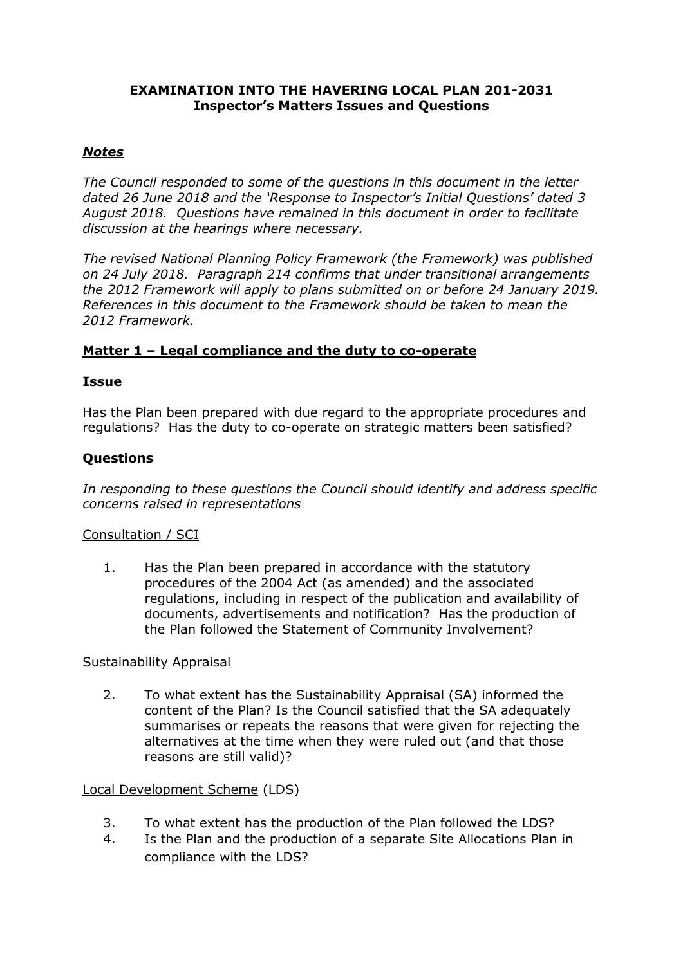#### **EXAMINATION INTO THE HAVERING LOCAL PLAN 201-2031 Inspector's Matters Issues and Questions**

### *Notes*

*The Council responded to some of the questions in this document in the letter dated 26 June 2018 and the 'Response to Inspector's Initial Questions' dated 3 August 2018. Questions have remained in this document in order to facilitate discussion at the hearings where necessary.*

*The revised National Planning Policy Framework (the Framework) was published on 24 July 2018. Paragraph 214 confirms that under transitional arrangements the 2012 Framework will apply to plans submitted on or before 24 January 2019. References in this document to the Framework should be taken to mean the 2012 Framework.*

### **Matter 1 – Legal compliance and the duty to co-operate**

### **Issue**

Has the Plan been prepared with due regard to the appropriate procedures and regulations? Has the duty to co-operate on strategic matters been satisfied?

## **Questions**

*In responding to these questions the Council should identify and address specific concerns raised in representations*

### Consultation / SCI

1. Has the Plan been prepared in accordance with the statutory procedures of the 2004 Act (as amended) and the associated regulations, including in respect of the publication and availability of documents, advertisements and notification? Has the production of the Plan followed the Statement of Community Involvement?

### Sustainability Appraisal

2. To what extent has the Sustainability Appraisal (SA) informed the content of the Plan? Is the Council satisfied that the SA adequately summarises or repeats the reasons that were given for rejecting the alternatives at the time when they were ruled out (and that those reasons are still valid)?

### Local Development Scheme (LDS)

- 3. To what extent has the production of the Plan followed the LDS?
- 4. Is the Plan and the production of a separate Site Allocations Plan in compliance with the LDS?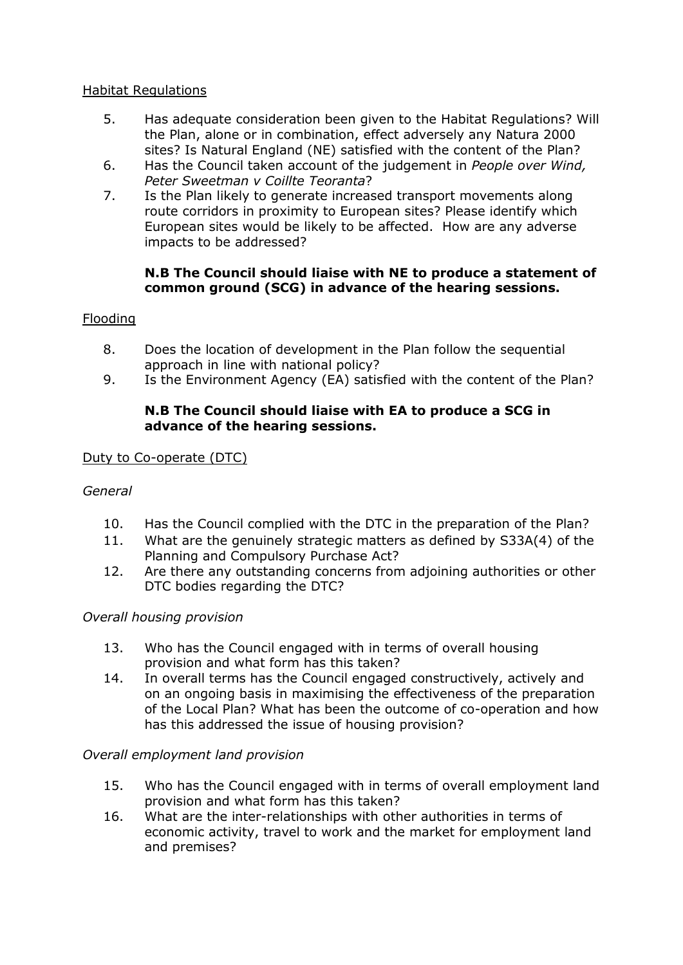#### Habitat Regulations

- 5. Has adequate consideration been given to the Habitat Regulations? Will the Plan, alone or in combination, effect adversely any Natura 2000 sites? Is Natural England (NE) satisfied with the content of the Plan?
- 6. Has the Council taken account of the judgement in *People over Wind, Peter Sweetman v Coillte Teoranta*?
- 7. Is the Plan likely to generate increased transport movements along route corridors in proximity to European sites? Please identify which European sites would be likely to be affected. How are any adverse impacts to be addressed?

#### **N.B The Council should liaise with NE to produce a statement of common ground (SCG) in advance of the hearing sessions.**

#### Flooding

- 8. Does the location of development in the Plan follow the sequential approach in line with national policy?
- 9. Is the Environment Agency (EA) satisfied with the content of the Plan?

### **N.B The Council should liaise with EA to produce a SCG in advance of the hearing sessions.**

Duty to Co-operate (DTC)

### *General*

- 10. Has the Council complied with the DTC in the preparation of the Plan?
- 11. What are the genuinely strategic matters as defined by S33A(4) of the Planning and Compulsory Purchase Act?
- 12. Are there any outstanding concerns from adjoining authorities or other DTC bodies regarding the DTC?

#### *Overall housing provision*

- 13. Who has the Council engaged with in terms of overall housing provision and what form has this taken?
- 14. In overall terms has the Council engaged constructively, actively and on an ongoing basis in maximising the effectiveness of the preparation of the Local Plan? What has been the outcome of co-operation and how has this addressed the issue of housing provision?

### *Overall employment land provision*

- 15. Who has the Council engaged with in terms of overall employment land provision and what form has this taken?
- 16. What are the inter-relationships with other authorities in terms of economic activity, travel to work and the market for employment land and premises?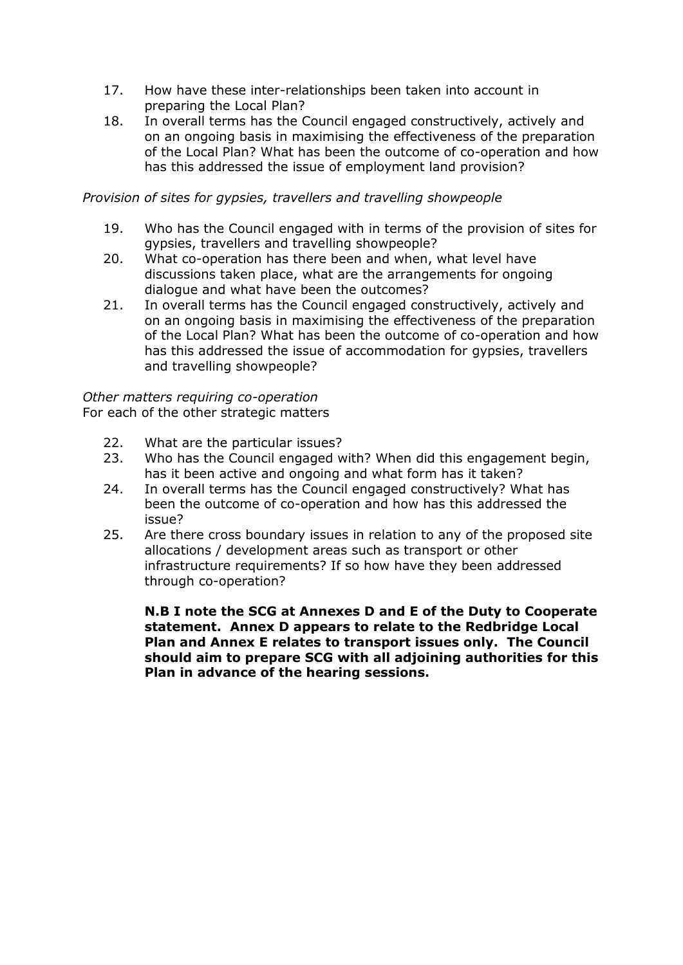- 17. How have these inter-relationships been taken into account in preparing the Local Plan?
- 18. In overall terms has the Council engaged constructively, actively and on an ongoing basis in maximising the effectiveness of the preparation of the Local Plan? What has been the outcome of co-operation and how has this addressed the issue of employment land provision?

### *Provision of sites for gypsies, travellers and travelling showpeople*

- 19. Who has the Council engaged with in terms of the provision of sites for gypsies, travellers and travelling showpeople?
- 20. What co-operation has there been and when, what level have discussions taken place, what are the arrangements for ongoing dialogue and what have been the outcomes?
- 21. In overall terms has the Council engaged constructively, actively and on an ongoing basis in maximising the effectiveness of the preparation of the Local Plan? What has been the outcome of co-operation and how has this addressed the issue of accommodation for gypsies, travellers and travelling showpeople?

*Other matters requiring co-operation*  For each of the other strategic matters

- 22. What are the particular issues?
- 23. Who has the Council engaged with? When did this engagement begin, has it been active and ongoing and what form has it taken?
- 24. In overall terms has the Council engaged constructively? What has been the outcome of co-operation and how has this addressed the issue?
- 25. Are there cross boundary issues in relation to any of the proposed site allocations / development areas such as transport or other infrastructure requirements? If so how have they been addressed through co-operation?

**N.B I note the SCG at Annexes D and E of the Duty to Cooperate statement. Annex D appears to relate to the Redbridge Local Plan and Annex E relates to transport issues only. The Council should aim to prepare SCG with all adjoining authorities for this Plan in advance of the hearing sessions.**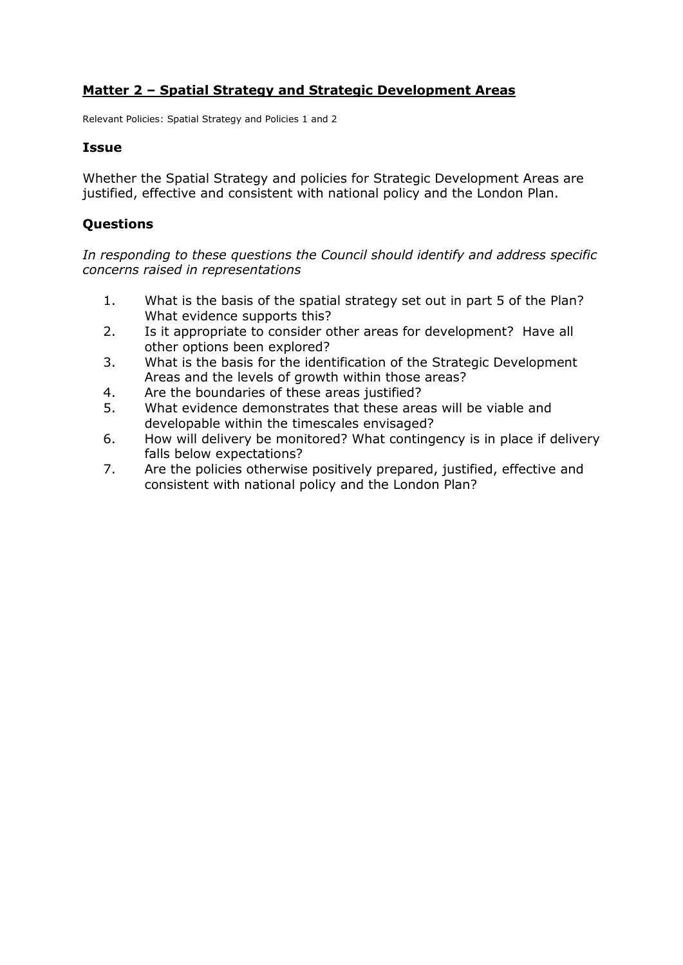## **Matter 2 – Spatial Strategy and Strategic Development Areas**

Relevant Policies: Spatial Strategy and Policies 1 and 2

#### **Issue**

Whether the Spatial Strategy and policies for Strategic Development Areas are justified, effective and consistent with national policy and the London Plan.

### **Questions**

- 1. What is the basis of the spatial strategy set out in part 5 of the Plan? What evidence supports this?
- 2. Is it appropriate to consider other areas for development? Have all other options been explored?
- 3. What is the basis for the identification of the Strategic Development Areas and the levels of growth within those areas?
- 4. Are the boundaries of these areas justified?
- 5. What evidence demonstrates that these areas will be viable and developable within the timescales envisaged?
- 6. How will delivery be monitored? What contingency is in place if delivery falls below expectations?
- 7. Are the policies otherwise positively prepared, justified, effective and consistent with national policy and the London Plan?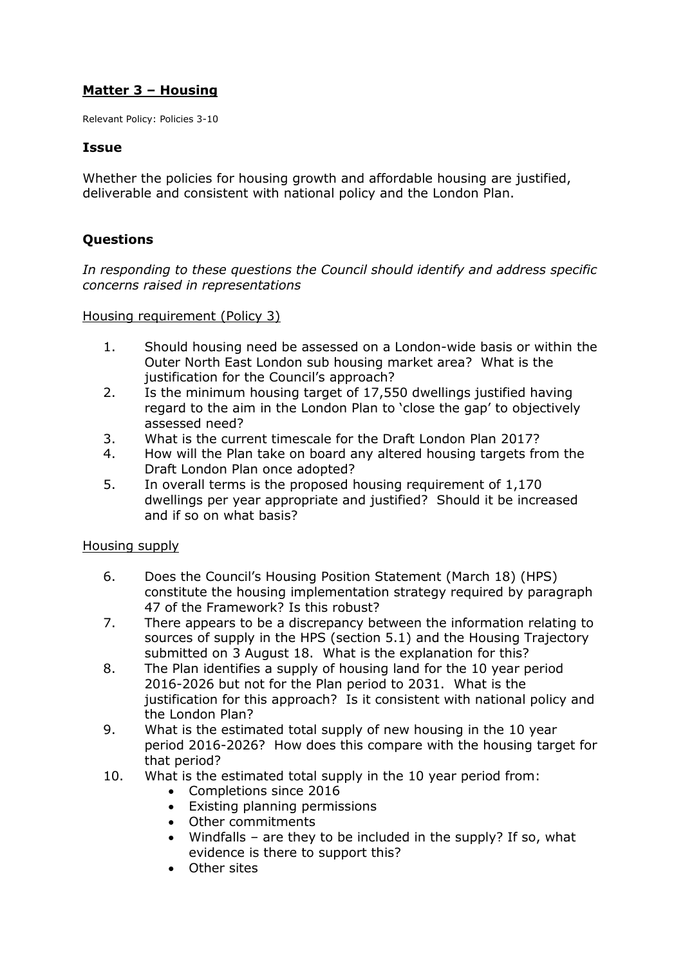## **Matter 3 – Housing**

Relevant Policy: Policies 3-10

#### **Issue**

Whether the policies for housing growth and affordable housing are justified, deliverable and consistent with national policy and the London Plan.

## **Questions**

*In responding to these questions the Council should identify and address specific concerns raised in representations*

Housing requirement (Policy 3)

- 1. Should housing need be assessed on a London-wide basis or within the Outer North East London sub housing market area? What is the justification for the Council's approach?
- 2. Is the minimum housing target of 17,550 dwellings justified having regard to the aim in the London Plan to 'close the gap' to objectively assessed need?
- 3. What is the current timescale for the Draft London Plan 2017?
- 4. How will the Plan take on board any altered housing targets from the Draft London Plan once adopted?
- 5. In overall terms is the proposed housing requirement of 1,170 dwellings per year appropriate and justified? Should it be increased and if so on what basis?

Housing supply

- 6. Does the Council's Housing Position Statement (March 18) (HPS) constitute the housing implementation strategy required by paragraph 47 of the Framework? Is this robust?
- 7. There appears to be a discrepancy between the information relating to sources of supply in the HPS (section 5.1) and the Housing Trajectory submitted on 3 August 18. What is the explanation for this?
- 8. The Plan identifies a supply of housing land for the 10 year period 2016-2026 but not for the Plan period to 2031. What is the justification for this approach? Is it consistent with national policy and the London Plan?
- 9. What is the estimated total supply of new housing in the 10 year period 2016-2026? How does this compare with the housing target for that period?
- 10. What is the estimated total supply in the 10 year period from:
	- Completions since 2016
	- Existing planning permissions
	- Other commitments
	- Windfalls are they to be included in the supply? If so, what evidence is there to support this?
	- Other sites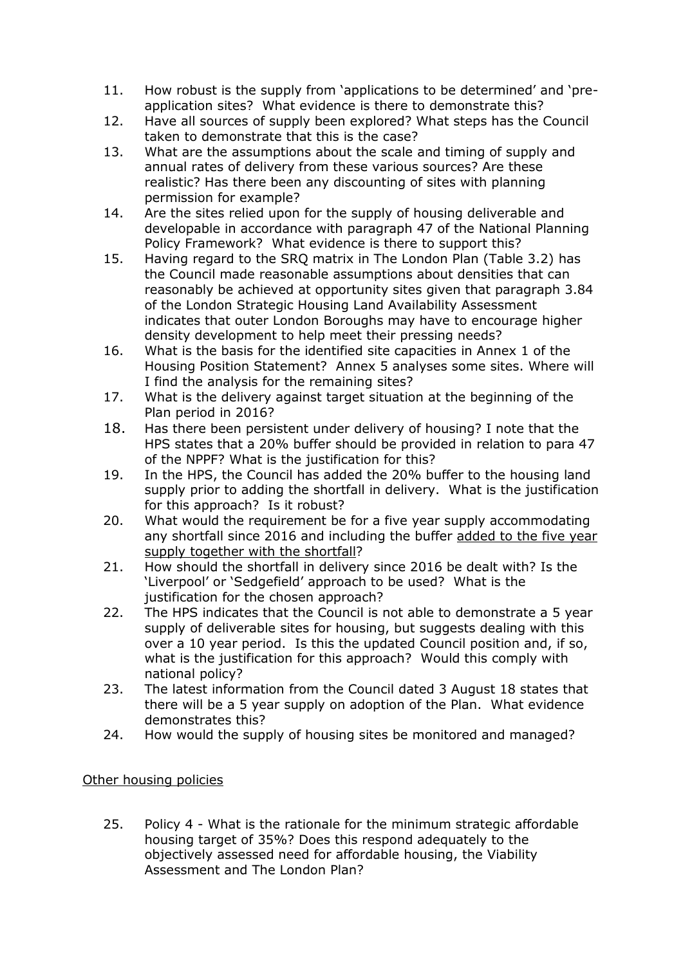- 11. How robust is the supply from 'applications to be determined' and 'preapplication sites? What evidence is there to demonstrate this?
- 12. Have all sources of supply been explored? What steps has the Council taken to demonstrate that this is the case?
- 13. What are the assumptions about the scale and timing of supply and annual rates of delivery from these various sources? Are these realistic? Has there been any discounting of sites with planning permission for example?
- 14. Are the sites relied upon for the supply of housing deliverable and developable in accordance with paragraph 47 of the National Planning Policy Framework? What evidence is there to support this?
- 15. Having regard to the SRQ matrix in The London Plan (Table 3.2) has the Council made reasonable assumptions about densities that can reasonably be achieved at opportunity sites given that paragraph 3.84 of the London Strategic Housing Land Availability Assessment indicates that outer London Boroughs may have to encourage higher density development to help meet their pressing needs?
- 16. What is the basis for the identified site capacities in Annex 1 of the Housing Position Statement? Annex 5 analyses some sites. Where will I find the analysis for the remaining sites?
- 17. What is the delivery against target situation at the beginning of the Plan period in 2016?
- 18. Has there been persistent under delivery of housing? I note that the HPS states that a 20% buffer should be provided in relation to para 47 of the NPPF? What is the justification for this?
- 19. In the HPS, the Council has added the 20% buffer to the housing land supply prior to adding the shortfall in delivery. What is the justification for this approach? Is it robust?
- 20. What would the requirement be for a five year supply accommodating any shortfall since 2016 and including the buffer added to the five year supply together with the shortfall?
- 21. How should the shortfall in delivery since 2016 be dealt with? Is the 'Liverpool' or 'Sedgefield' approach to be used? What is the justification for the chosen approach?
- 22. The HPS indicates that the Council is not able to demonstrate a 5 year supply of deliverable sites for housing, but suggests dealing with this over a 10 year period. Is this the updated Council position and, if so, what is the justification for this approach? Would this comply with national policy?
- 23. The latest information from the Council dated 3 August 18 states that there will be a 5 year supply on adoption of the Plan. What evidence demonstrates this?
- 24. How would the supply of housing sites be monitored and managed?

### Other housing policies

25. Policy 4 - What is the rationale for the minimum strategic affordable housing target of 35%? Does this respond adequately to the objectively assessed need for affordable housing, the Viability Assessment and The London Plan?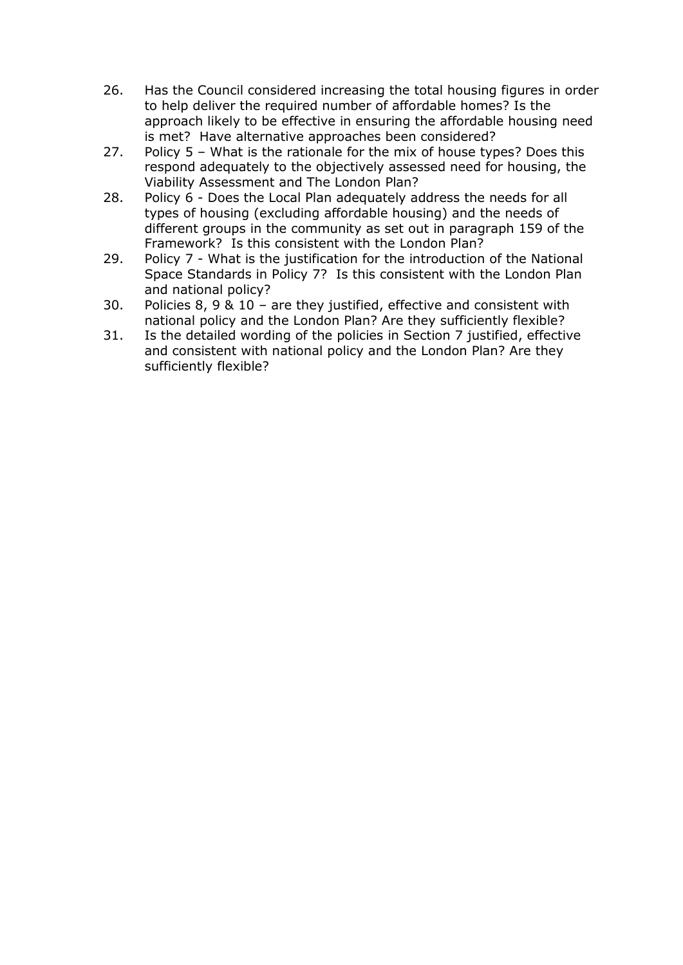- 26. Has the Council considered increasing the total housing figures in order to help deliver the required number of affordable homes? Is the approach likely to be effective in ensuring the affordable housing need is met? Have alternative approaches been considered?
- 27. Policy 5 What is the rationale for the mix of house types? Does this respond adequately to the objectively assessed need for housing, the Viability Assessment and The London Plan?
- 28. Policy 6 Does the Local Plan adequately address the needs for all types of housing (excluding affordable housing) and the needs of different groups in the community as set out in paragraph 159 of the Framework? Is this consistent with the London Plan?
- 29. Policy 7 What is the justification for the introduction of the National Space Standards in Policy 7? Is this consistent with the London Plan and national policy?
- 30. Policies 8, 9 & 10 are they justified, effective and consistent with national policy and the London Plan? Are they sufficiently flexible?
- 31. Is the detailed wording of the policies in Section 7 justified, effective and consistent with national policy and the London Plan? Are they sufficiently flexible?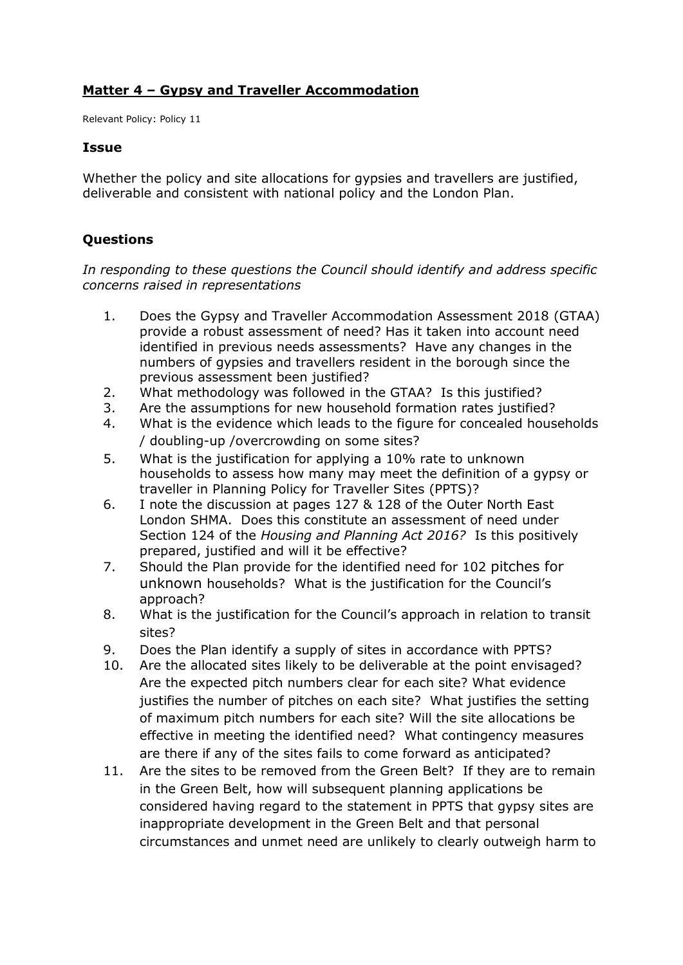# **Matter 4 – Gypsy and Traveller Accommodation**

Relevant Policy: Policy 11

#### **Issue**

Whether the policy and site allocations for gypsies and travellers are justified, deliverable and consistent with national policy and the London Plan.

## **Questions**

- 1. Does the Gypsy and Traveller Accommodation Assessment 2018 (GTAA) provide a robust assessment of need? Has it taken into account need identified in previous needs assessments? Have any changes in the numbers of gypsies and travellers resident in the borough since the previous assessment been justified?
- 2. What methodology was followed in the GTAA? Is this justified?
- 3. Are the assumptions for new household formation rates justified?
- 4. What is the evidence which leads to the figure for concealed households / doubling-up /overcrowding on some sites?
- 5. What is the justification for applying a 10% rate to unknown households to assess how many may meet the definition of a gypsy or traveller in Planning Policy for Traveller Sites (PPTS)?
- 6. I note the discussion at pages 127 & 128 of the Outer North East London SHMA. Does this constitute an assessment of need under Section 124 of the *Housing and Planning Act 2016?* Is this positively prepared, justified and will it be effective?
- 7. Should the Plan provide for the identified need for 102 pitches for unknown households? What is the justification for the Council's approach?
- 8. What is the justification for the Council's approach in relation to transit sites?
- 9. Does the Plan identify a supply of sites in accordance with PPTS?
- 10. Are the allocated sites likely to be deliverable at the point envisaged? Are the expected pitch numbers clear for each site? What evidence justifies the number of pitches on each site? What justifies the setting of maximum pitch numbers for each site? Will the site allocations be effective in meeting the identified need? What contingency measures are there if any of the sites fails to come forward as anticipated?
- 11. Are the sites to be removed from the Green Belt? If they are to remain in the Green Belt, how will subsequent planning applications be considered having regard to the statement in PPTS that gypsy sites are inappropriate development in the Green Belt and that personal circumstances and unmet need are unlikely to clearly outweigh harm to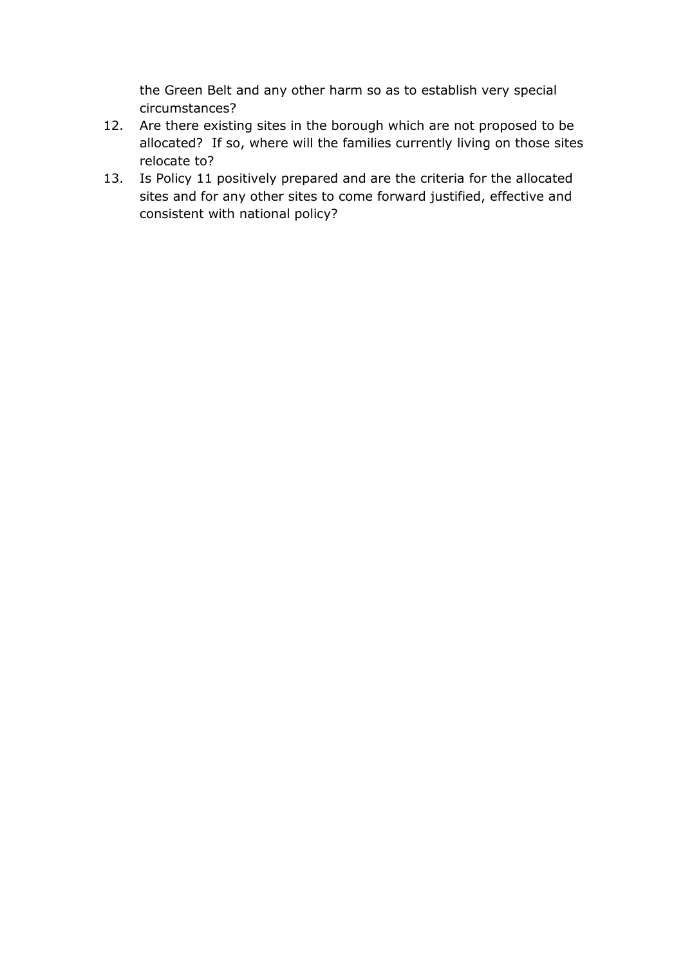the Green Belt and any other harm so as to establish very special circumstances?

- 12. Are there existing sites in the borough which are not proposed to be allocated? If so, where will the families currently living on those sites relocate to?
- 13. Is Policy 11 positively prepared and are the criteria for the allocated sites and for any other sites to come forward justified, effective and consistent with national policy?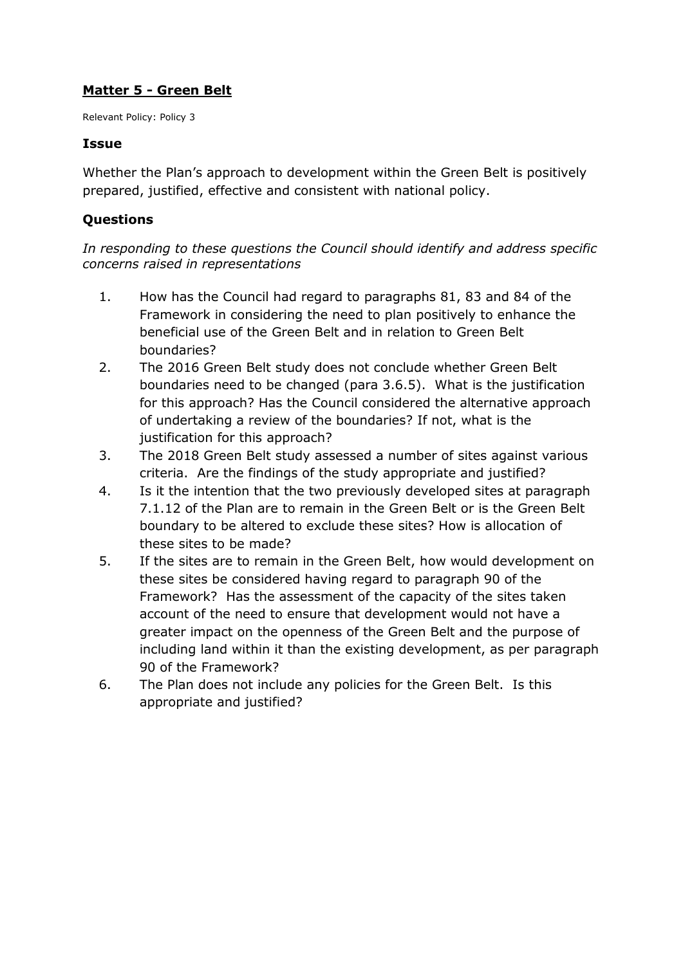# **Matter 5 - Green Belt**

Relevant Policy: Policy 3

#### **Issue**

Whether the Plan's approach to development within the Green Belt is positively prepared, justified, effective and consistent with national policy.

## **Questions**

- 1. How has the Council had regard to paragraphs 81, 83 and 84 of the Framework in considering the need to plan positively to enhance the beneficial use of the Green Belt and in relation to Green Belt boundaries?
- 2. The 2016 Green Belt study does not conclude whether Green Belt boundaries need to be changed (para 3.6.5). What is the justification for this approach? Has the Council considered the alternative approach of undertaking a review of the boundaries? If not, what is the justification for this approach?
- 3. The 2018 Green Belt study assessed a number of sites against various criteria. Are the findings of the study appropriate and justified?
- 4. Is it the intention that the two previously developed sites at paragraph 7.1.12 of the Plan are to remain in the Green Belt or is the Green Belt boundary to be altered to exclude these sites? How is allocation of these sites to be made?
- 5. If the sites are to remain in the Green Belt, how would development on these sites be considered having regard to paragraph 90 of the Framework? Has the assessment of the capacity of the sites taken account of the need to ensure that development would not have a greater impact on the openness of the Green Belt and the purpose of including land within it than the existing development, as per paragraph 90 of the Framework?
- 6. The Plan does not include any policies for the Green Belt. Is this appropriate and justified?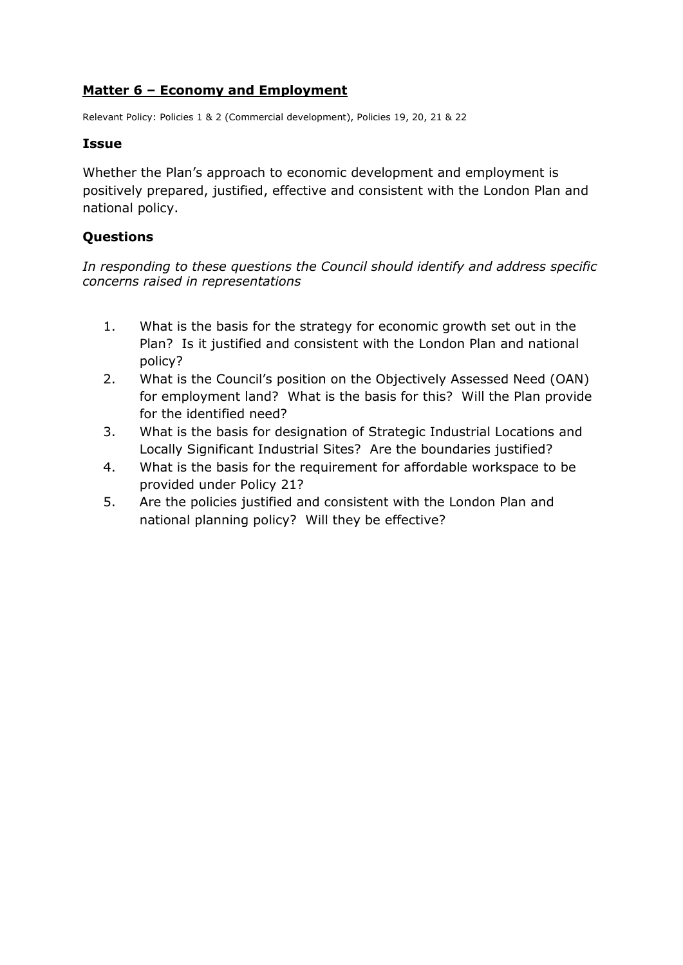## **Matter 6 – Economy and Employment**

Relevant Policy: Policies 1 & 2 (Commercial development), Policies 19, 20, 21 & 22

#### **Issue**

Whether the Plan's approach to economic development and employment is positively prepared, justified, effective and consistent with the London Plan and national policy.

## **Questions**

- 1. What is the basis for the strategy for economic growth set out in the Plan? Is it justified and consistent with the London Plan and national policy?
- 2. What is the Council's position on the Objectively Assessed Need (OAN) for employment land? What is the basis for this? Will the Plan provide for the identified need?
- 3. What is the basis for designation of Strategic Industrial Locations and Locally Significant Industrial Sites? Are the boundaries justified?
- 4. What is the basis for the requirement for affordable workspace to be provided under Policy 21?
- 5. Are the policies justified and consistent with the London Plan and national planning policy? Will they be effective?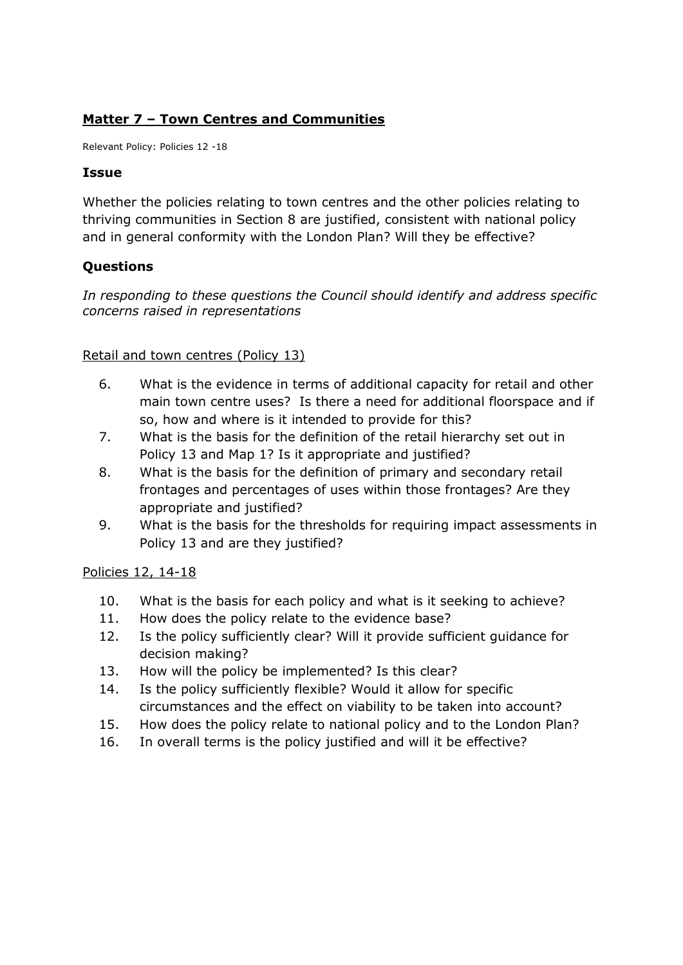# **Matter 7 – Town Centres and Communities**

Relevant Policy: Policies 12 -18

### **Issue**

Whether the policies relating to town centres and the other policies relating to thriving communities in Section 8 are justified, consistent with national policy and in general conformity with the London Plan? Will they be effective?

## **Questions**

*In responding to these questions the Council should identify and address specific concerns raised in representations*

### Retail and town centres (Policy 13)

- 6. What is the evidence in terms of additional capacity for retail and other main town centre uses? Is there a need for additional floorspace and if so, how and where is it intended to provide for this?
- 7. What is the basis for the definition of the retail hierarchy set out in Policy 13 and Map 1? Is it appropriate and justified?
- 8. What is the basis for the definition of primary and secondary retail frontages and percentages of uses within those frontages? Are they appropriate and justified?
- 9. What is the basis for the thresholds for requiring impact assessments in Policy 13 and are they justified?

### Policies 12, 14-18

- 10. What is the basis for each policy and what is it seeking to achieve?
- 11. How does the policy relate to the evidence base?
- 12. Is the policy sufficiently clear? Will it provide sufficient guidance for decision making?
- 13. How will the policy be implemented? Is this clear?
- 14. Is the policy sufficiently flexible? Would it allow for specific circumstances and the effect on viability to be taken into account?
- 15. How does the policy relate to national policy and to the London Plan?
- 16. In overall terms is the policy justified and will it be effective?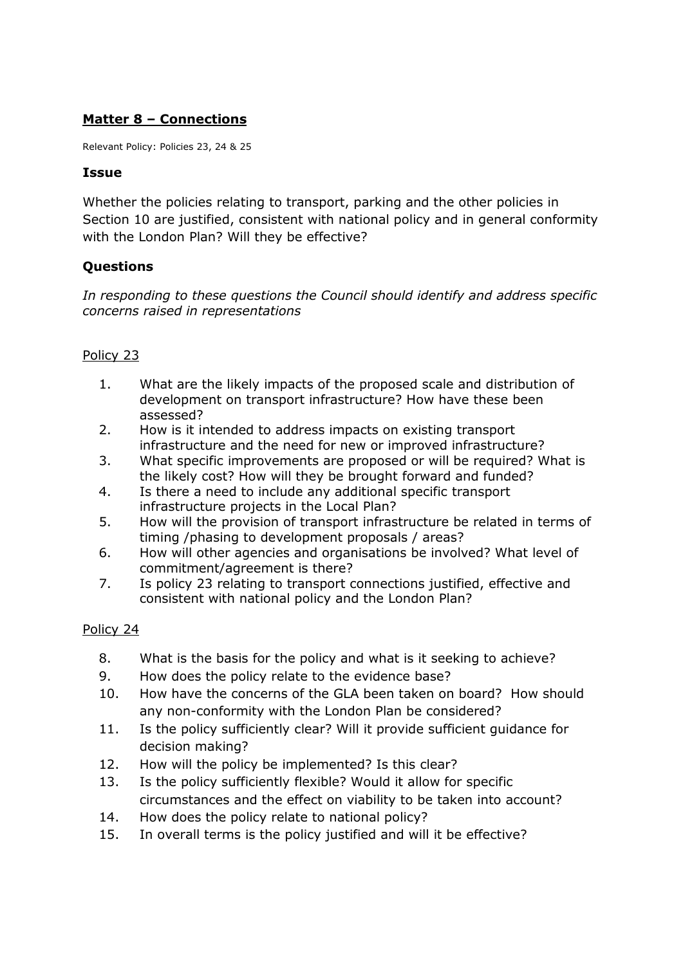# **Matter 8 – Connections**

Relevant Policy: Policies 23, 24 & 25

### **Issue**

Whether the policies relating to transport, parking and the other policies in Section 10 are justified, consistent with national policy and in general conformity with the London Plan? Will they be effective?

## **Questions**

*In responding to these questions the Council should identify and address specific concerns raised in representations*

## Policy 23

- 1. What are the likely impacts of the proposed scale and distribution of development on transport infrastructure? How have these been assessed?
- 2. How is it intended to address impacts on existing transport infrastructure and the need for new or improved infrastructure?
- 3. What specific improvements are proposed or will be required? What is the likely cost? How will they be brought forward and funded?
- 4. Is there a need to include any additional specific transport infrastructure projects in the Local Plan?
- 5. How will the provision of transport infrastructure be related in terms of timing /phasing to development proposals / areas?
- 6. How will other agencies and organisations be involved? What level of commitment/agreement is there?
- 7. Is policy 23 relating to transport connections justified, effective and consistent with national policy and the London Plan?

### Policy 24

- 8. What is the basis for the policy and what is it seeking to achieve?
- 9. How does the policy relate to the evidence base?
- 10. How have the concerns of the GLA been taken on board? How should any non-conformity with the London Plan be considered?
- 11. Is the policy sufficiently clear? Will it provide sufficient guidance for decision making?
- 12. How will the policy be implemented? Is this clear?
- 13. Is the policy sufficiently flexible? Would it allow for specific circumstances and the effect on viability to be taken into account?
- 14. How does the policy relate to national policy?
- 15. In overall terms is the policy justified and will it be effective?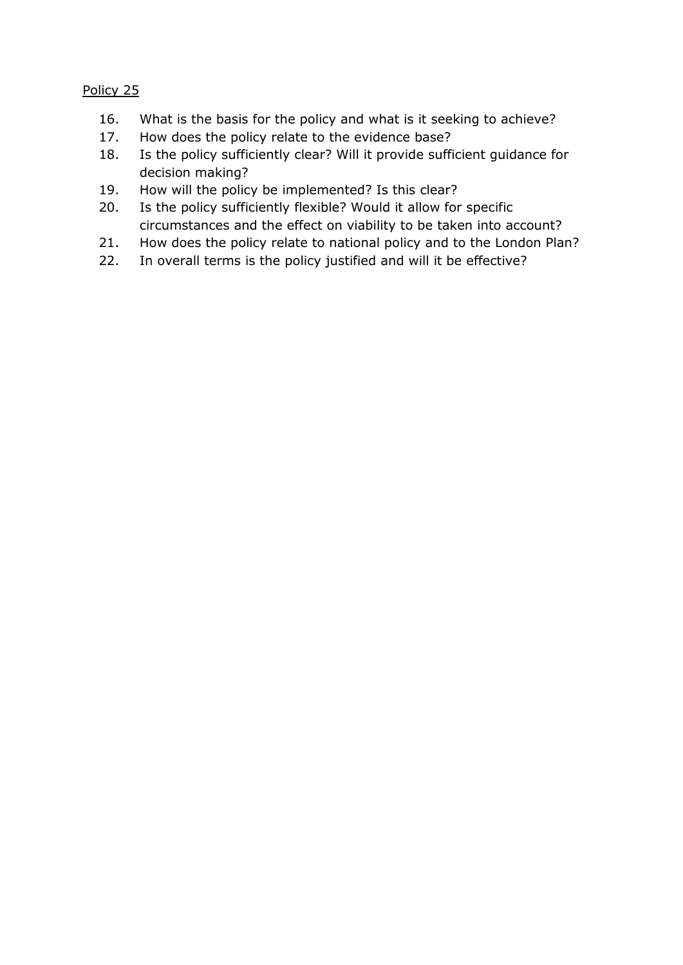Policy 25

- 16. What is the basis for the policy and what is it seeking to achieve?
- 17. How does the policy relate to the evidence base?
- 18. Is the policy sufficiently clear? Will it provide sufficient guidance for decision making?
- 19. How will the policy be implemented? Is this clear?
- 20. Is the policy sufficiently flexible? Would it allow for specific circumstances and the effect on viability to be taken into account?
- 21. How does the policy relate to national policy and to the London Plan?
- 22. In overall terms is the policy justified and will it be effective?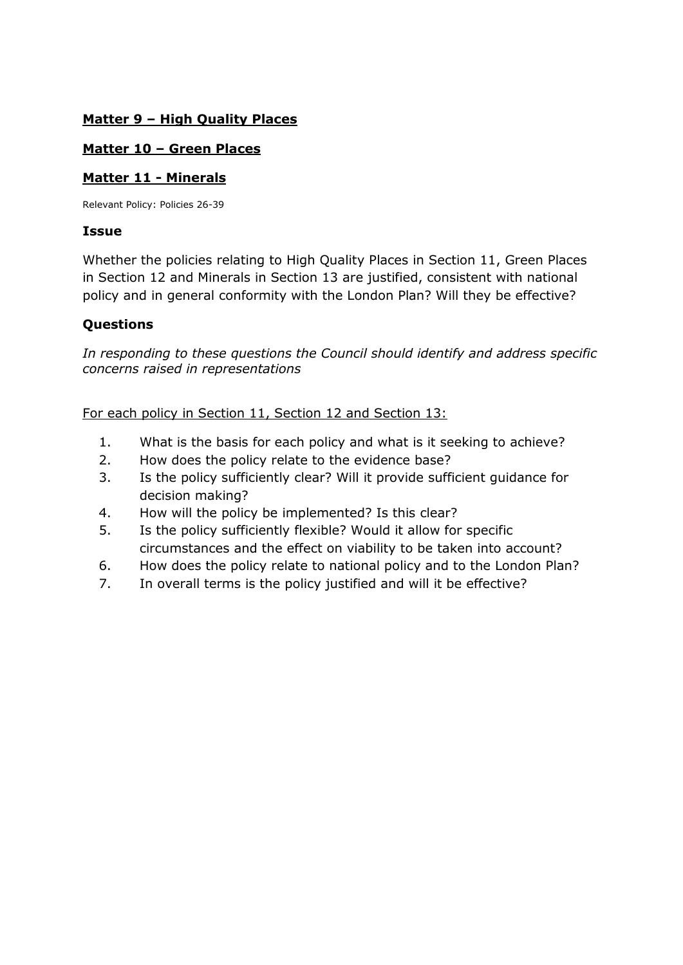## **Matter 9 – High Quality Places**

## **Matter 10 – Green Places**

## **Matter 11 - Minerals**

Relevant Policy: Policies 26-39

### **Issue**

Whether the policies relating to High Quality Places in Section 11, Green Places in Section 12 and Minerals in Section 13 are justified, consistent with national policy and in general conformity with the London Plan? Will they be effective?

## **Questions**

*In responding to these questions the Council should identify and address specific concerns raised in representations*

For each policy in Section 11, Section 12 and Section 13:

- 1. What is the basis for each policy and what is it seeking to achieve?
- 2. How does the policy relate to the evidence base?
- 3. Is the policy sufficiently clear? Will it provide sufficient guidance for decision making?
- 4. How will the policy be implemented? Is this clear?
- 5. Is the policy sufficiently flexible? Would it allow for specific circumstances and the effect on viability to be taken into account?
- 6. How does the policy relate to national policy and to the London Plan?
- 7. In overall terms is the policy justified and will it be effective?